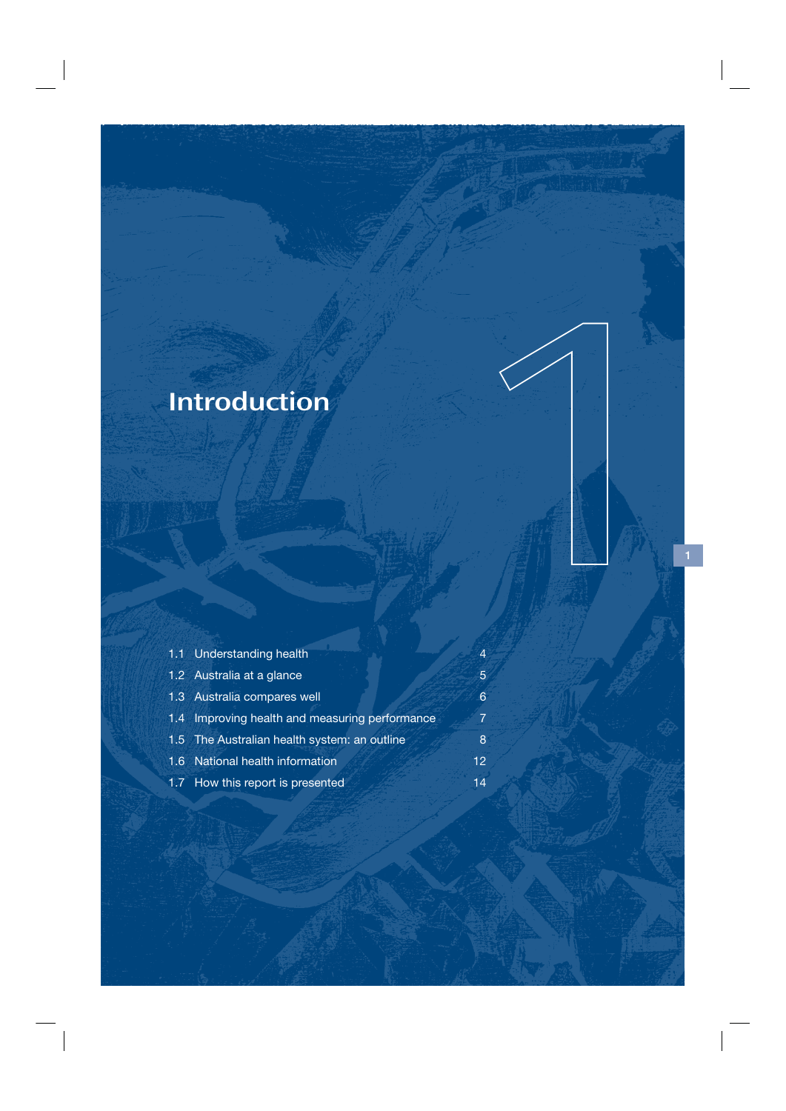# Introduction

| 1.1 Understanding health                       | $\overline{4}$ |
|------------------------------------------------|----------------|
| 1.2 Australia at a glance                      | 5              |
| 1.3 Australia compares well                    | 6              |
| 1.4 Improving health and measuring performance | 7              |
| 1.5 The Australian health system: an outline   | 8              |
| 1.6 National health information                | 12             |
| 1.7 How this report is presented               | 14             |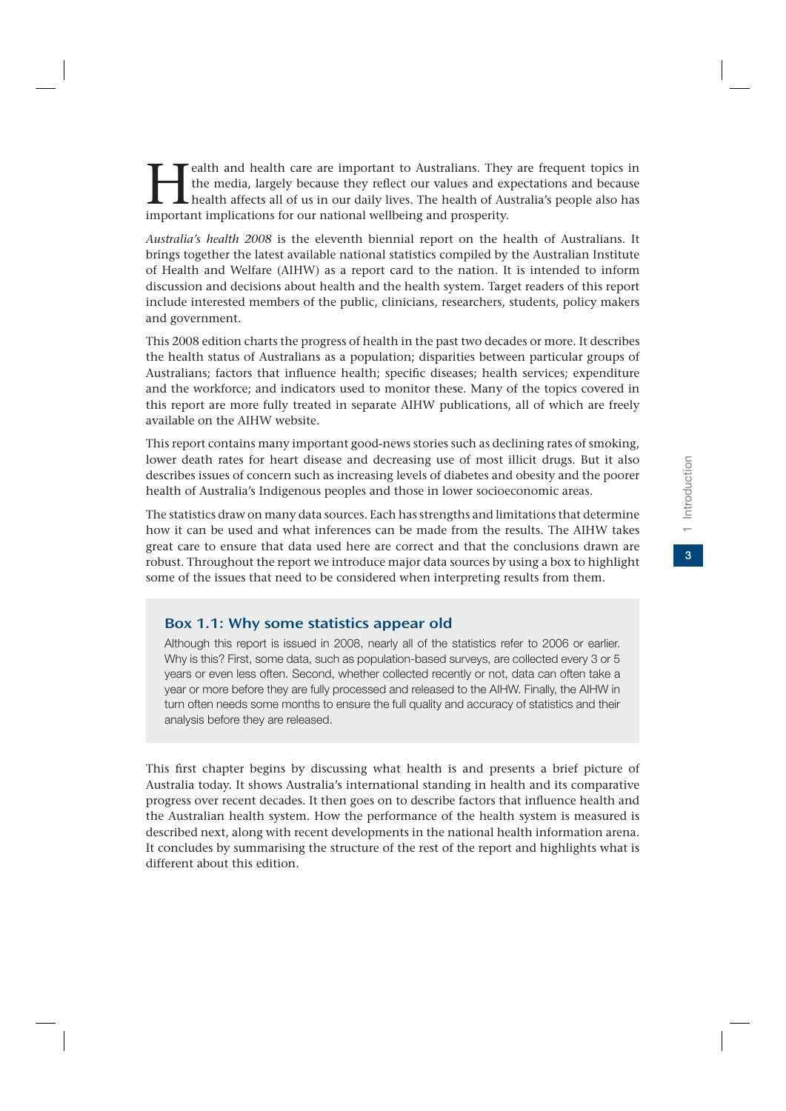$\overline{3}$ 

Fealth and health care are important to Australians. They are frequent topics in the media, largely because they reflect our values and expectations and because health affects all of us in our daily lives. The health of Au the media, largely because they reflect our values and expectations and because health affects all of us in our daily lives. The health of Australia's people also has important implications for our national wellbeing and prosperity.

*Australia's health 2008* is the eleventh biennial report on the health of Australians. It brings together the latest available national statistics compiled by the Australian Institute of Health and Welfare (AIHW) as a report card to the nation. It is intended to inform discussion and decisions about health and the health system. Target readers of this report include interested members of the public, clinicians, researchers, students, policy makers and government.

This 2008 edition charts the progress of health in the past two decades or more. It describes the health status of Australians as a population; disparities between particular groups of Australians; factors that influence health; specific diseases; health services; expenditure and the workforce; and indicators used to monitor these. Many of the topics covered in this report are more fully treated in separate AIHW publications, all of which are freely available on the AIHW website.

This report contains many important good-news stories such as declining rates of smoking, lower death rates for heart disease and decreasing use of most illicit drugs. But it also describes issues of concern such as increasing levels of diabetes and obesity and the poorer health of Australia's Indigenous peoples and those in lower socioeconomic areas.

The statistics draw on many data sources. Each has strengths and limitations that determine how it can be used and what inferences can be made from the results. The AIHW takes great care to ensure that data used here are correct and that the conclusions drawn are robust. Throughout the report we introduce major data sources by using a box to highlight some of the issues that need to be considered when interpreting results from them.

#### Box 1.1: Why some statistics appear old

Although this report is issued in 2008, nearly all of the statistics refer to 2006 or earlier. Why is this? First, some data, such as population-based surveys, are collected every 3 or 5 years or even less often. Second, whether collected recently or not, data can often take a year or more before they are fully processed and released to the AIHW. Finally, the AIHW in turn often needs some months to ensure the full quality and accuracy of statistics and their analysis before they are released.

This first chapter begins by discussing what health is and presents a brief picture of Australia today. It shows Australia's international standing in health and its comparative progress over recent decades. It then goes on to describe factors that influence health and the Australian health system. How the performance of the health system is measured is described next, along with recent developments in the national health information arena. It concludes by summarising the structure of the rest of the report and highlights what is different about this edition.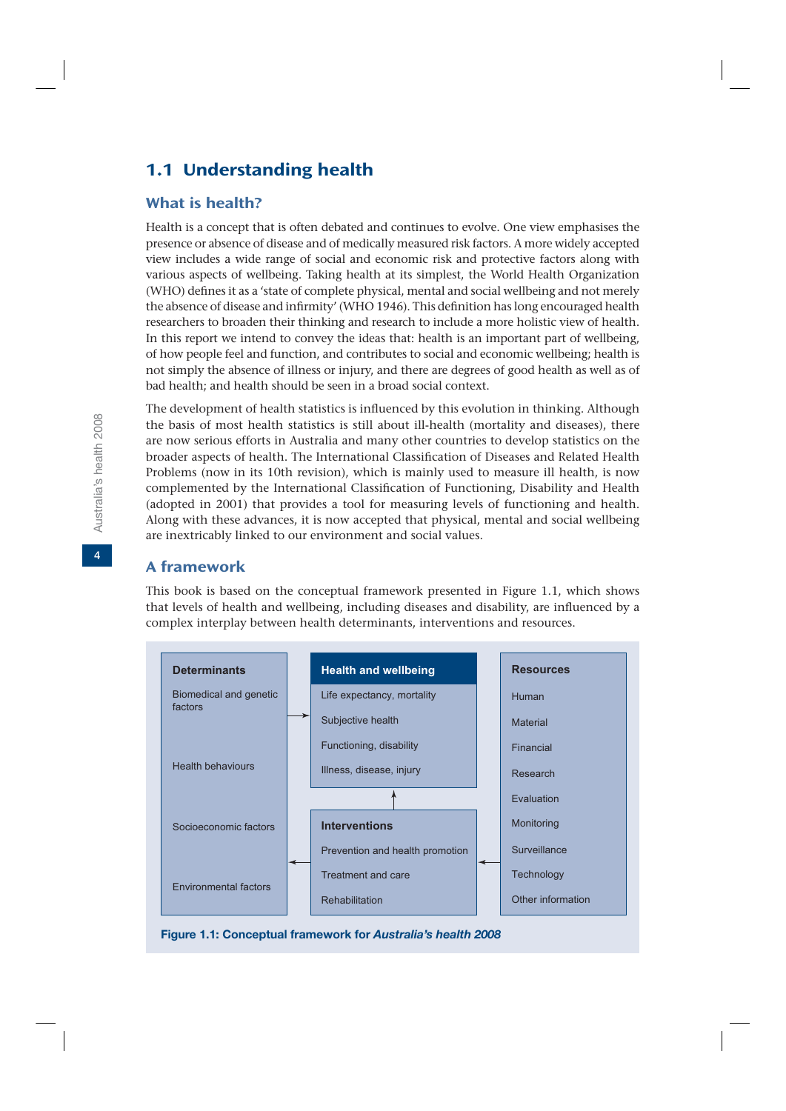# 1.1 Understanding health

#### What is health?

Health is a concept that is often debated and continues to evolve. One view emphasises the presence or absence of disease and of medically measured risk factors. A more widely accepted view includes a wide range of social and economic risk and protective factors along with various aspects of wellbeing. Taking health at its simplest, the World Health Organization (WHO) defines it as a 'state of complete physical, mental and social wellbeing and not merely the absence of disease and infirmity' (WHO 1946). This definition has long encouraged health researchers to broaden their thinking and research to include a more holistic view of health. In this report we intend to convey the ideas that: health is an important part of wellbeing, of how people feel and function, and contributes to social and economic wellbeing; health is not simply the absence of illness or injury, and there are degrees of good health as well as of bad health; and health should be seen in a broad social context.

The development of health statistics is influenced by this evolution in thinking. Although the basis of most health statistics is still about ill-health (mortality and diseases), there are now serious efforts in Australia and many other countries to develop statistics on the broader aspects of health. The International Classification of Diseases and Related Health Problems (now in its 10th revision), which is mainly used to measure ill health, is now complemented by the International Classification of Functioning, Disability and Health (adopted in 2001) that provides a tool for measuring levels of functioning and health. Along with these advances, it is now accepted that physical, mental and social wellbeing are inextricably linked to our environment and social values.

#### A framework

This book is based on the conceptual framework presented in Figure 1.1, which shows that levels of health and wellbeing, including diseases and disability, are influenced by a complex interplay between health determinants, interventions and resources.



**Figure 1.1: Conceptual framework for** *Australia's health 2008*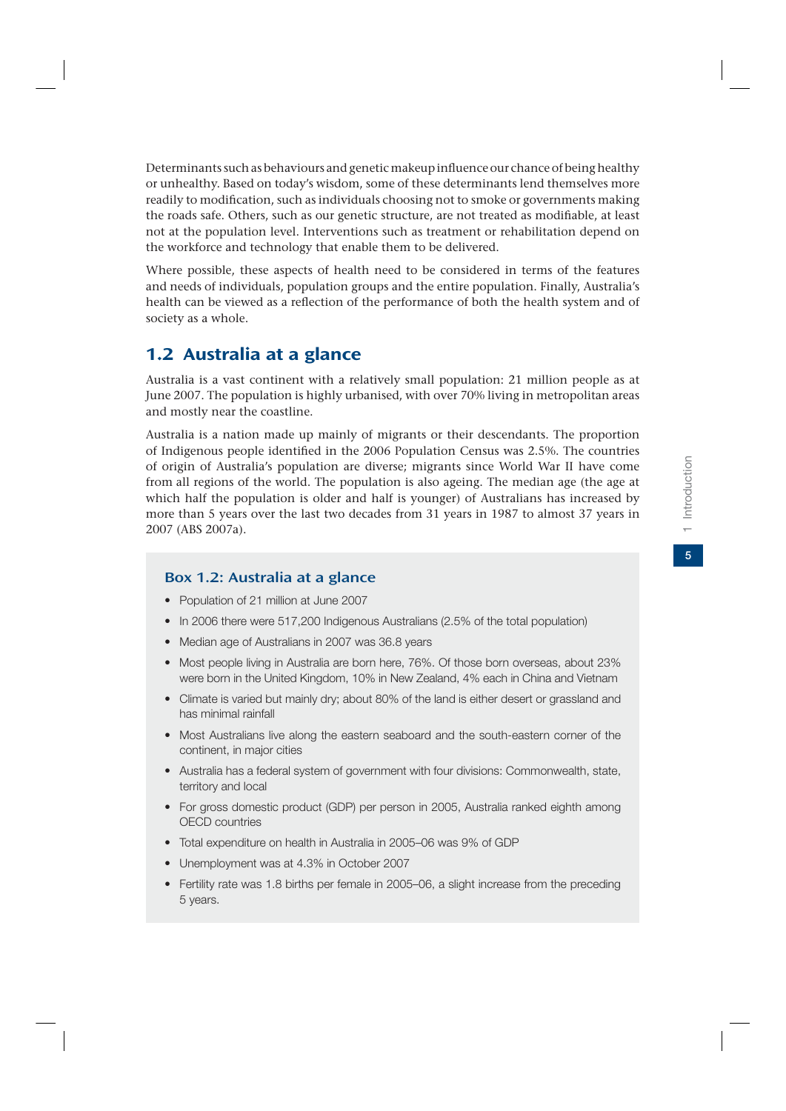Determinants such as behaviours and genetic makeup influence our chance of being healthy or unhealthy. Based on today's wisdom, some of these determinants lend themselves more readily to modification, such as individuals choosing not to smoke or governments making the roads safe. Others, such as our genetic structure, are not treated as modifiable, at least not at the population level. Interventions such as treatment or rehabilitation depend on the workforce and technology that enable them to be delivered.

Where possible, these aspects of health need to be considered in terms of the features and needs of individuals, population groups and the entire population. Finally, Australia's health can be viewed as a reflection of the performance of both the health system and of society as a whole.

# 1.2 Australia at a glance

Australia is a vast continent with a relatively small population: 21 million people as at June 2007. The population is highly urbanised, with over 70% living in metropolitan areas and mostly near the coastline.

Australia is a nation made up mainly of migrants or their descendants. The proportion of Indigenous people identified in the 2006 Population Census was 2.5%. The countries of origin of Australia's population are diverse; migrants since World War II have come from all regions of the world. The population is also ageing. The median age (the age at which half the population is older and half is younger) of Australians has increased by more than 5 years over the last two decades from 31 years in 1987 to almost 37 years in 2007 (ABS 2007a).

### Box 1.2: Australia at a glance

- Population of 21 million at June 2007
- In 2006 there were 517,200 Indigenous Australians (2.5% of the total population)
- Median age of Australians in 2007 was 36.8 years
- Most people living in Australia are born here, 76%. Of those born overseas, about 23% were born in the United Kingdom, 10% in New Zealand, 4% each in China and Vietnam
- Climate is varied but mainly dry; about 80% of the land is either desert or grassland and has minimal rainfall
- Most Australians live along the eastern seaboard and the south-eastern corner of the continent, in major cities
- Australia has a federal system of government with four divisions: Commonwealth, state, territory and local
- For gross domestic product (GDP) per person in 2005, Australia ranked eighth among OECD countries
- Total expenditure on health in Australia in 2005–06 was 9% of GDP
- Unemployment was at 4.3% in October 2007
- Fertility rate was 1.8 births per female in 2005–06, a slight increase from the preceding 5 years.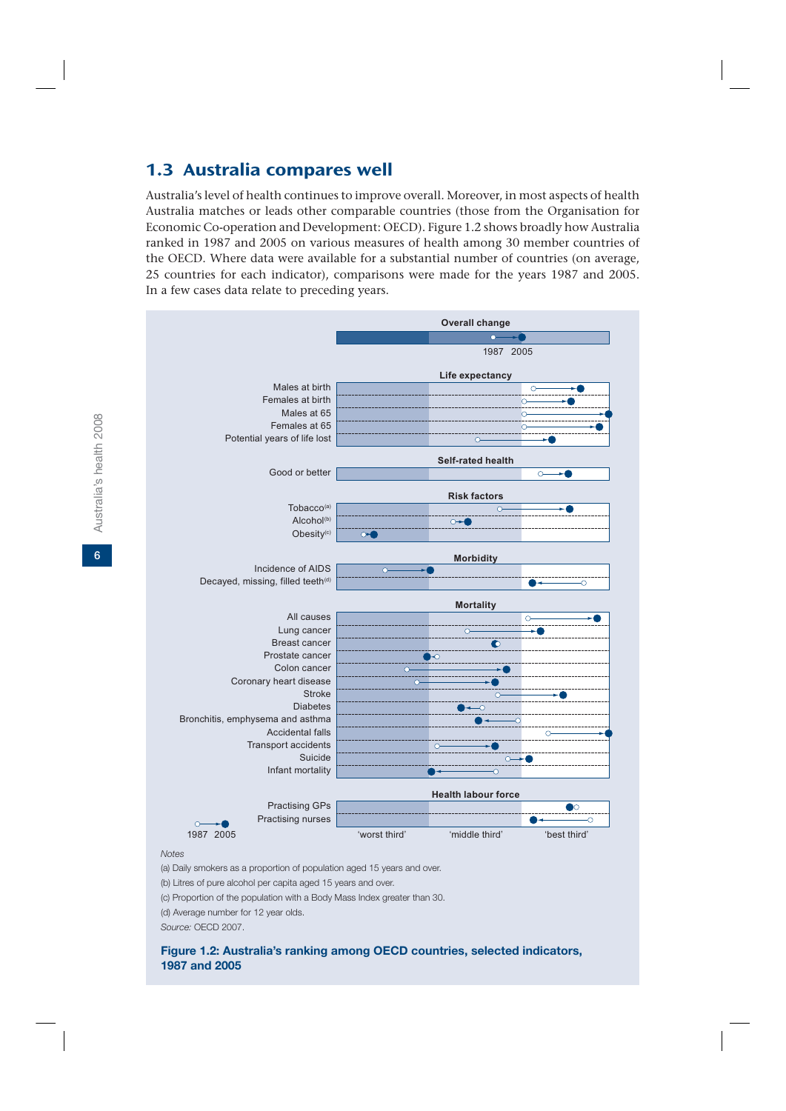## 1.3 Australia compares well

Australia's level of health continues to improve overall. Moreover, in most aspects of health Australia matches or leads other comparable countries (those from the Organisation for Economic Co-operation and Development: OECD). Figure 1.2 shows broadly how Australia ranked in 1987 and 2005 on various measures of health among 30 member countries of the OECD. Where data were available for a substantial number of countries (on average, 25 countries for each indicator), comparisons were made for the years 1987 and 2005. In a few cases data relate to preceding years.



(b) Litres of pure alcohol per capita aged 15 years and over.

(c) Proportion of the population with a Body Mass Index greater than 30.

(d) Average number for 12 year olds.

*Source:* OECD 2007.

#### **Figure 1.2: Australia's ranking among OECD countries, selected indicators, 1987 and 2005**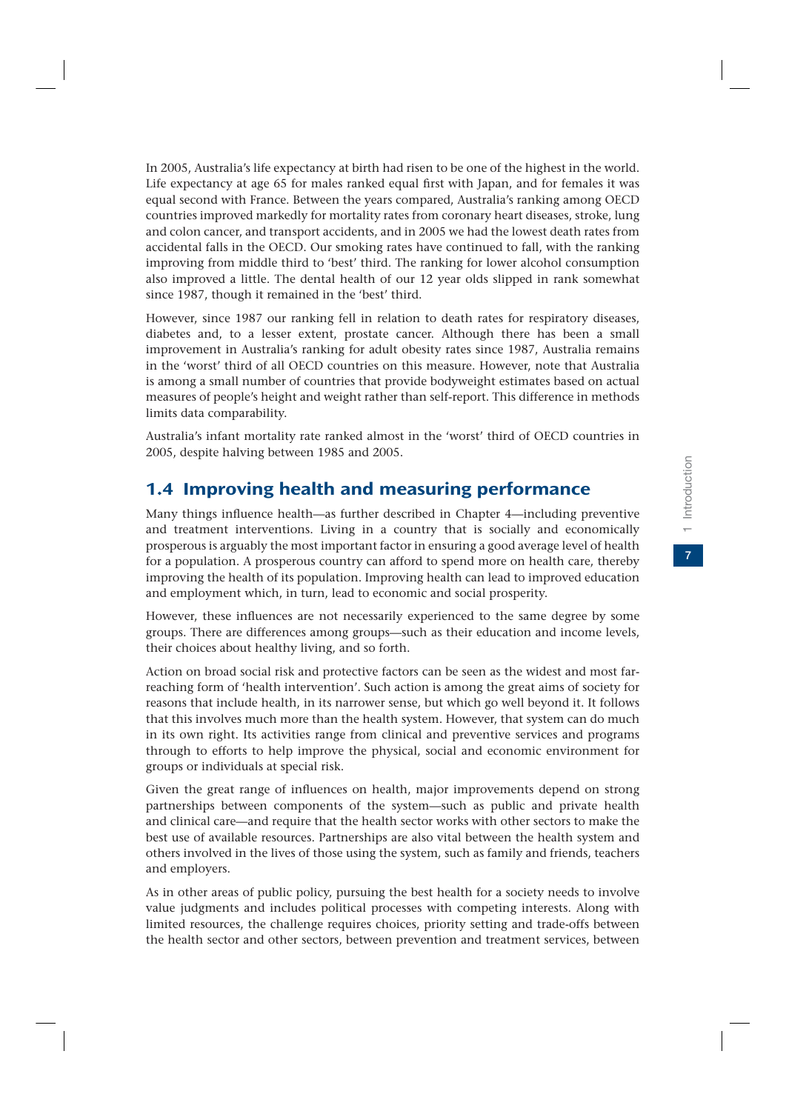In 2005, Australia's life expectancy at birth had risen to be one of the highest in the world. Life expectancy at age 65 for males ranked equal first with Japan, and for females it was equal second with France. Between the years compared, Australia's ranking among OECD countries improved markedly for mortality rates from coronary heart diseases, stroke, lung and colon cancer, and transport accidents, and in 2005 we had the lowest death rates from accidental falls in the OECD. Our smoking rates have continued to fall, with the ranking improving from middle third to 'best' third. The ranking for lower alcohol consumption also improved a little. The dental health of our 12 year olds slipped in rank somewhat since 1987, though it remained in the 'best' third.

However, since 1987 our ranking fell in relation to death rates for respiratory diseases, diabetes and, to a lesser extent, prostate cancer. Although there has been a small improvement in Australia's ranking for adult obesity rates since 1987, Australia remains in the 'worst' third of all OECD countries on this measure. However, note that Australia is among a small number of countries that provide bodyweight estimates based on actual measures of people's height and weight rather than self-report. This difference in methods limits data comparability.

Australia's infant mortality rate ranked almost in the 'worst' third of OECD countries in 2005, despite halving between 1985 and 2005.

# 1.4 Improving health and measuring performance

Many things influence health—as further described in Chapter 4—including preventive and treatment interventions. Living in a country that is socially and economically prosperous is arguably the most important factor in ensuring a good average level of health for a population. A prosperous country can afford to spend more on health care, thereby improving the health of its population. Improving health can lead to improved education and employment which, in turn, lead to economic and social prosperity.

However, these influences are not necessarily experienced to the same degree by some groups. There are differences among groups—such as their education and income levels, their choices about healthy living, and so forth.

Action on broad social risk and protective factors can be seen as the widest and most farreaching form of 'health intervention'. Such action is among the great aims of society for reasons that include health, in its narrower sense, but which go well beyond it. It follows that this involves much more than the health system. However, that system can do much in its own right. Its activities range from clinical and preventive services and programs through to efforts to help improve the physical, social and economic environment for groups or individuals at special risk.

Given the great range of influences on health, major improvements depend on strong partnerships between components of the system—such as public and private health and clinical care—and require that the health sector works with other sectors to make the best use of available resources. Partnerships are also vital between the health system and others involved in the lives of those using the system, such as family and friends, teachers and employers.

As in other areas of public policy, pursuing the best health for a society needs to involve value judgments and includes political processes with competing interests. Along with limited resources, the challenge requires choices, priority setting and trade-offs between the health sector and other sectors, between prevention and treatment services, between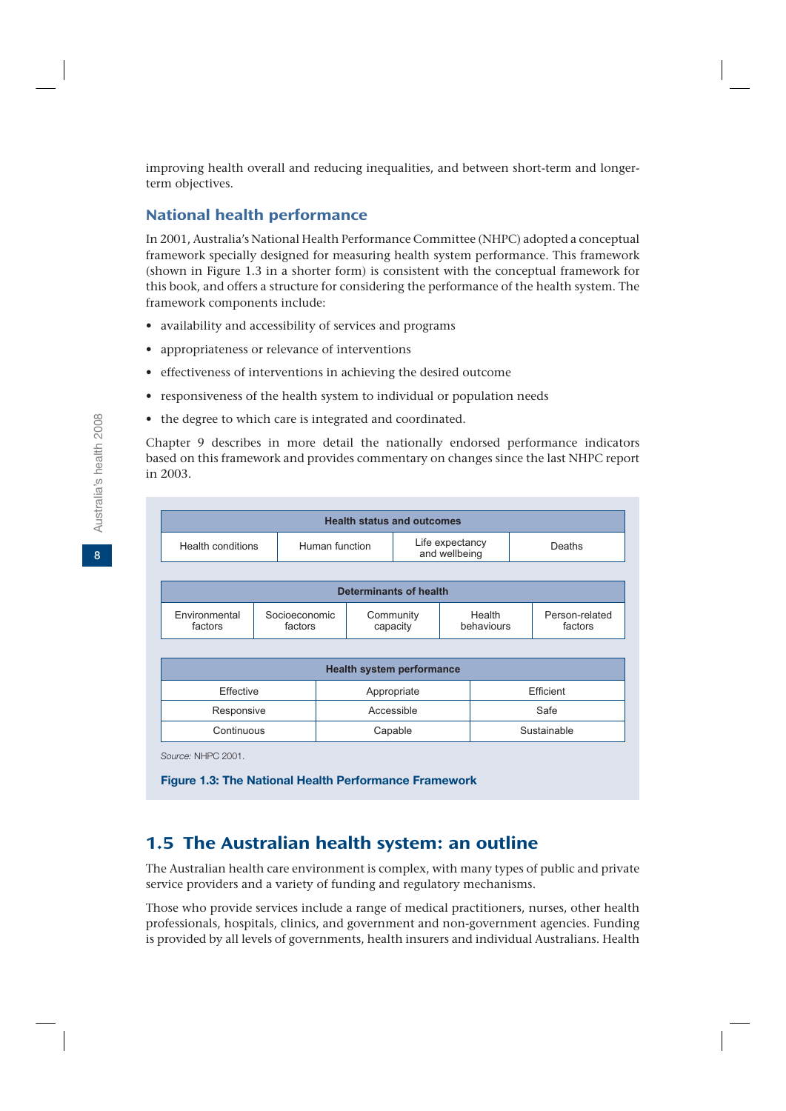improving health overall and reducing inequalities, and between short-term and longerterm objectives.

## National health performance

In 2001, Australia's National Health Performance Committee (NHPC) adopted a conceptual framework specially designed for measuring health system performance. This framework (shown in Figure 1.3 in a shorter form) is consistent with the conceptual framework for this book, and offers a structure for considering the performance of the health system. The framework components include:

- availability and accessibility of services and programs
- appropriateness or relevance of interventions
- effectiveness of interventions in achieving the desired outcome
- responsiveness of the health system to individual or population needs
- the degree to which care is integrated and coordinated.

Chapter 9 describes in more detail the nationally endorsed performance indicators based on this framework and provides commentary on changes since the last NHPC report in 2003.

| Life expectancy<br>Human function<br>Health conditions<br>and wellbeing<br><b>Determinants of health</b><br>Environmental<br>Socioeconomic<br>Community<br>Health<br>factors<br>factors<br>capacity<br>behaviours | Deaths                    |  |  |  |
|-------------------------------------------------------------------------------------------------------------------------------------------------------------------------------------------------------------------|---------------------------|--|--|--|
|                                                                                                                                                                                                                   |                           |  |  |  |
|                                                                                                                                                                                                                   |                           |  |  |  |
|                                                                                                                                                                                                                   |                           |  |  |  |
|                                                                                                                                                                                                                   | Person-related<br>factors |  |  |  |
|                                                                                                                                                                                                                   |                           |  |  |  |
| <b>Health system performance</b>                                                                                                                                                                                  |                           |  |  |  |
| Effective<br>Appropriate                                                                                                                                                                                          | Efficient                 |  |  |  |
| Accessible<br>Responsive                                                                                                                                                                                          | Safe                      |  |  |  |
| Continuous<br>Capable                                                                                                                                                                                             | Sustainable               |  |  |  |

# 1.5 The Australian health system: an outline

The Australian health care environment is complex, with many types of public and private service providers and a variety of funding and regulatory mechanisms.

Those who provide services include a range of medical practitioners, nurses, other health professionals, hospitals, clinics, and government and non-government agencies. Funding is provided by all levels of governments, health insurers and individual Australians. Health

**8**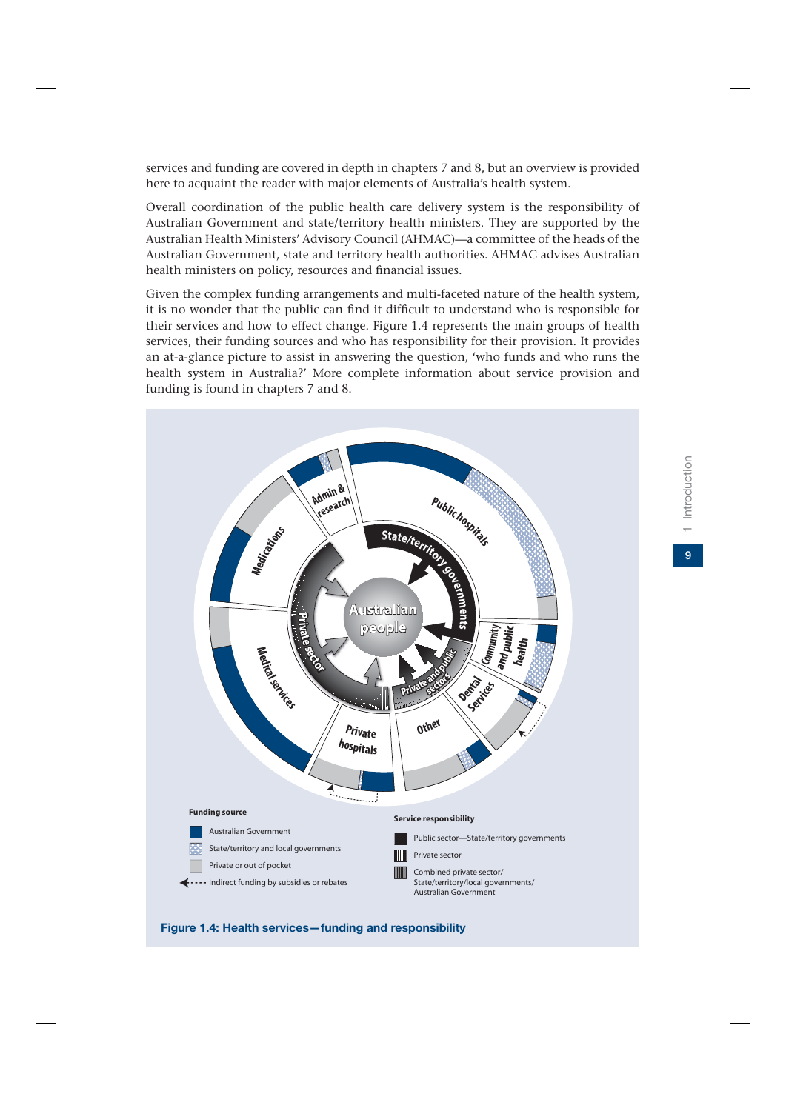services and funding are covered in depth in chapters 7 and 8, but an overview is provided here to acquaint the reader with major elements of Australia's health system.

Overall coordination of the public health care delivery system is the responsibility of Australian Government and state/territory health ministers. They are supported by the Australian Health Ministers' Advisory Council (AHMAC)—a committee of the heads of the Australian Government, state and territory health authorities. AHMAC advises Australian health ministers on policy, resources and financial issues.

Given the complex funding arrangements and multi-faceted nature of the health system, it is no wonder that the public can find it difficult to understand who is responsible for their services and how to effect change. Figure 1.4 represents the main groups of health services, their funding sources and who has responsibility for their provision. It provides an at-a-glance picture to assist in answering the question, 'who funds and who runs the health system in Australia?' More complete information about service provision and funding is found in chapters 7 and 8.



#### **Figure 1.4: Health services—funding and responsibility**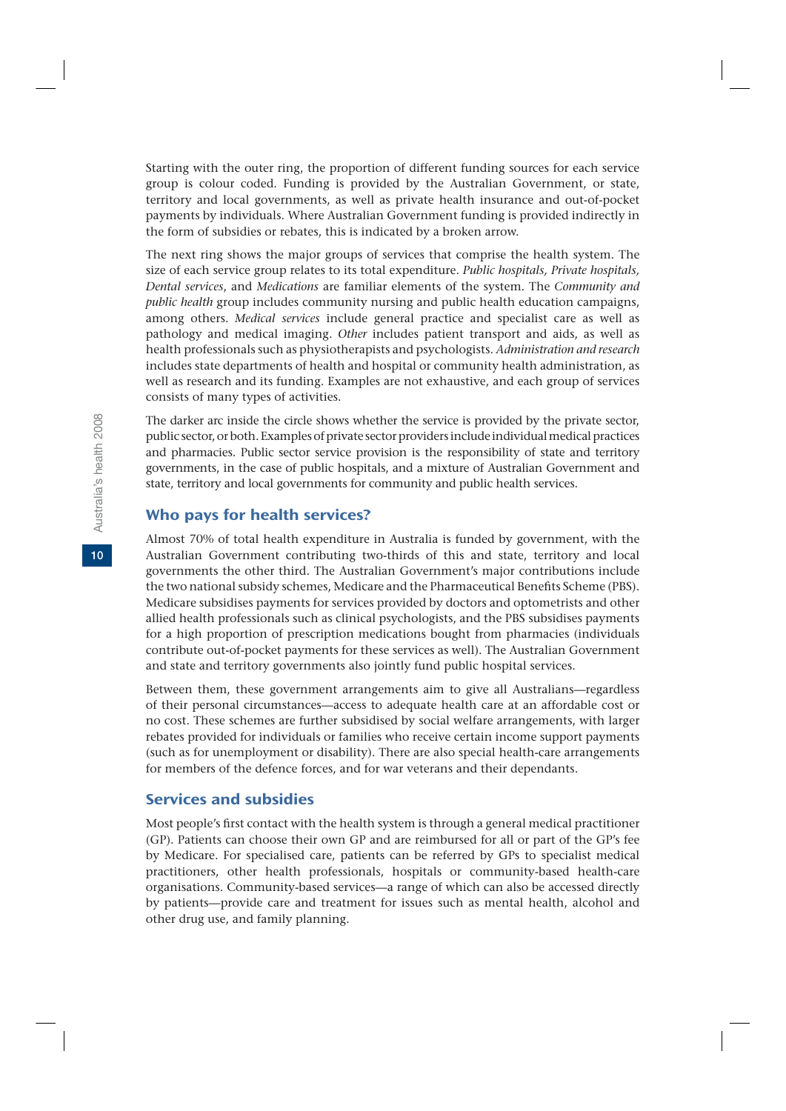Starting with the outer ring, the proportion of different funding sources for each service group is colour coded. Funding is provided by the Australian Government, or state, territory and local governments, as well as private health insurance and out-of-pocket payments by individuals. Where Australian Government funding is provided indirectly in the form of subsidies or rebates, this is indicated by a broken arrow.

The next ring shows the major groups of services that comprise the health system. The size of each service group relates to its total expenditure. *Public hospitals, Private hospitals, Dental services*, and *Medications* are familiar elements of the system. The *Community and public health* group includes community nursing and public health education campaigns, among others. *Medical services* include general practice and specialist care as well as pathology and medical imaging. *Other* includes patient transport and aids, as well as health professionals such as physiotherapists and psychologists. *Administration and research* includes state departments of health and hospital or community health administration, as well as research and its funding. Examples are not exhaustive, and each group of services consists of many types of activities.

The darker arc inside the circle shows whether the service is provided by the private sector, public sector, or both. Examples of private sector providers include individual medical practices and pharmacies. Public sector service provision is the responsibility of state and territory governments, in the case of public hospitals, and a mixture of Australian Government and state, territory and local governments for community and public health services.

#### Who pays for health services?

Almost 70% of total health expenditure in Australia is funded by government, with the Australian Government contributing two-thirds of this and state, territory and local governments the other third. The Australian Government's major contributions include the two national subsidy schemes, Medicare and the Pharmaceutical Benefits Scheme (PBS). Medicare subsidises payments for services provided by doctors and optometrists and other allied health professionals such as clinical psychologists, and the PBS subsidises payments for a high proportion of prescription medications bought from pharmacies (individuals contribute out-of-pocket payments for these services as well). The Australian Government and state and territory governments also jointly fund public hospital services.

Between them, these government arrangements aim to give all Australians—regardless of their personal circumstances—access to adequate health care at an affordable cost or no cost. These schemes are further subsidised by social welfare arrangements, with larger rebates provided for individuals or families who receive certain income support payments (such as for unemployment or disability). There are also special health-care arrangements for members of the defence forces, and for war veterans and their dependants.

## Services and subsidies

Most people's first contact with the health system is through a general medical practitioner (GP). Patients can choose their own GP and are reimbursed for all or part of the GP's fee by Medicare. For specialised care, patients can be referred by GPs to specialist medical practitioners, other health professionals, hospitals or community-based health-care organisations. Community-based services—a range of which can also be accessed directly by patients—provide care and treatment for issues such as mental health, alcohol and other drug use, and family planning.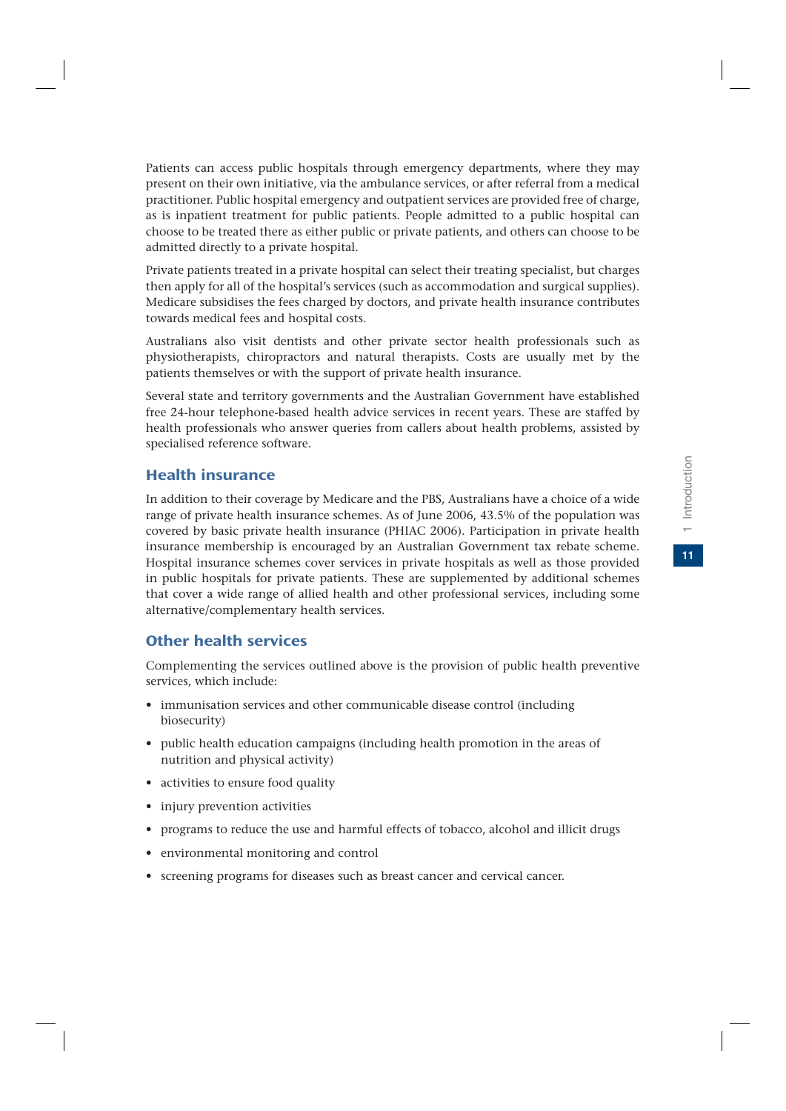$\overline{11}$ 

Patients can access public hospitals through emergency departments, where they may present on their own initiative, via the ambulance services, or after referral from a medical practitioner. Public hospital emergency and outpatient services are provided free of charge, as is inpatient treatment for public patients. People admitted to a public hospital can choose to be treated there as either public or private patients, and others can choose to be admitted directly to a private hospital.

Private patients treated in a private hospital can select their treating specialist, but charges then apply for all of the hospital's services (such as accommodation and surgical supplies). Medicare subsidises the fees charged by doctors, and private health insurance contributes towards medical fees and hospital costs.

Australians also visit dentists and other private sector health professionals such as physiotherapists, chiropractors and natural therapists. Costs are usually met by the patients themselves or with the support of private health insurance.

Several state and territory governments and the Australian Government have established free 24-hour telephone-based health advice services in recent years. These are staffed by health professionals who answer queries from callers about health problems, assisted by specialised reference software.

## Health insurance

In addition to their coverage by Medicare and the PBS, Australians have a choice of a wide range of private health insurance schemes. As of June 2006, 43.5% of the population was covered by basic private health insurance (PHIAC 2006). Participation in private health insurance membership is encouraged by an Australian Government tax rebate scheme. Hospital insurance schemes cover services in private hospitals as well as those provided in public hospitals for private patients. These are supplemented by additional schemes that cover a wide range of allied health and other professional services, including some alternative/complementary health services.

## Other health services

Complementing the services outlined above is the provision of public health preventive services, which include:

- immunisation services and other communicable disease control (including biosecurity)
- public health education campaigns (including health promotion in the areas of nutrition and physical activity)
- activities to ensure food quality
- injury prevention activities
- programs to reduce the use and harmful effects of tobacco, alcohol and illicit drugs
- environmental monitoring and control
- screening programs for diseases such as breast cancer and cervical cancer.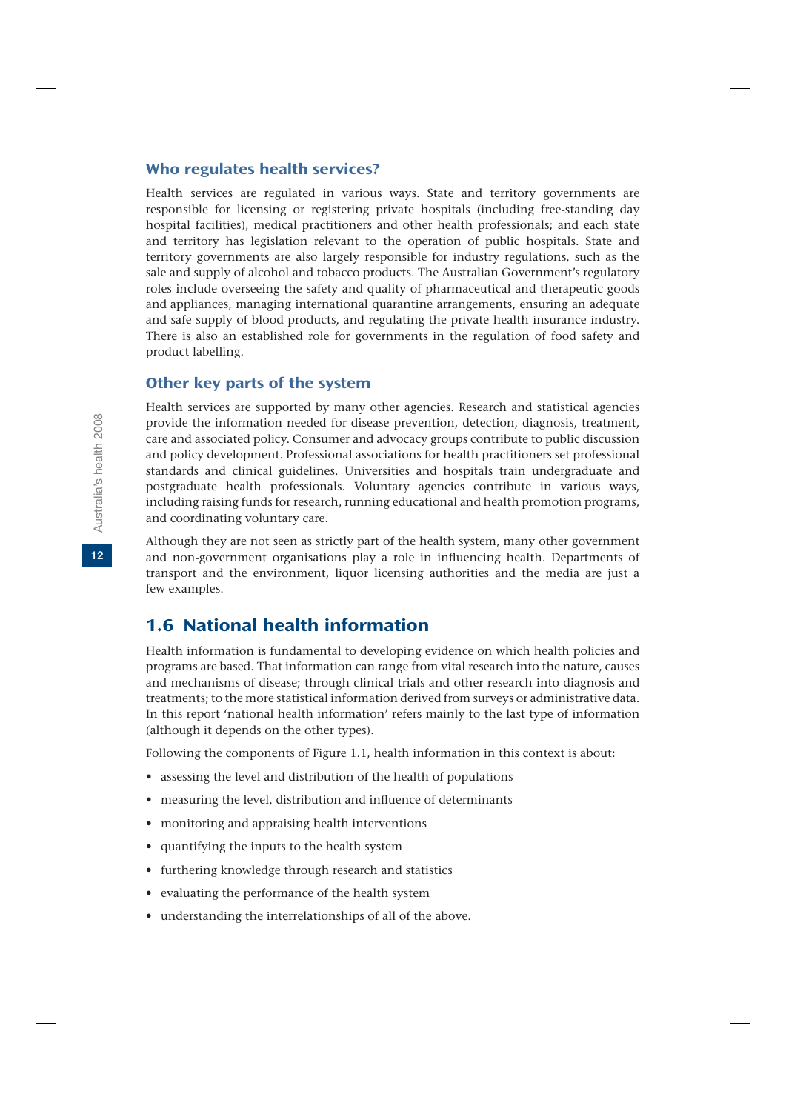#### Who regulates health services?

Health services are regulated in various ways. State and territory governments are responsible for licensing or registering private hospitals (including free-standing day hospital facilities), medical practitioners and other health professionals; and each state and territory has legislation relevant to the operation of public hospitals. State and territory governments are also largely responsible for industry regulations, such as the sale and supply of alcohol and tobacco products. The Australian Government's regulatory roles include overseeing the safety and quality of pharmaceutical and therapeutic goods and appliances, managing international quarantine arrangements, ensuring an adequate and safe supply of blood products, and regulating the private health insurance industry. There is also an established role for governments in the regulation of food safety and product labelling.

#### Other key parts of the system

Health services are supported by many other agencies. Research and statistical agencies provide the information needed for disease prevention, detection, diagnosis, treatment, care and associated policy. Consumer and advocacy groups contribute to public discussion and policy development. Professional associations for health practitioners set professional standards and clinical guidelines. Universities and hospitals train undergraduate and postgraduate health professionals. Voluntary agencies contribute in various ways, including raising funds for research, running educational and health promotion programs, and coordinating voluntary care.

Although they are not seen as strictly part of the health system, many other government and non-government organisations play a role in influencing health. Departments of transport and the environment, liquor licensing authorities and the media are just a few examples.

# 1.6 National health information

Health information is fundamental to developing evidence on which health policies and programs are based. That information can range from vital research into the nature, causes and mechanisms of disease; through clinical trials and other research into diagnosis and treatments; to the more statistical information derived from surveys or administrative data. In this report 'national health information' refers mainly to the last type of information (although it depends on the other types).

Following the components of Figure 1.1, health information in this context is about:

- assessing the level and distribution of the health of populations
- measuring the level, distribution and influence of determinants
- monitoring and appraising health interventions
- quantifying the inputs to the health system
- furthering knowledge through research and statistics
- evaluating the performance of the health system
- understanding the interrelationships of all of the above.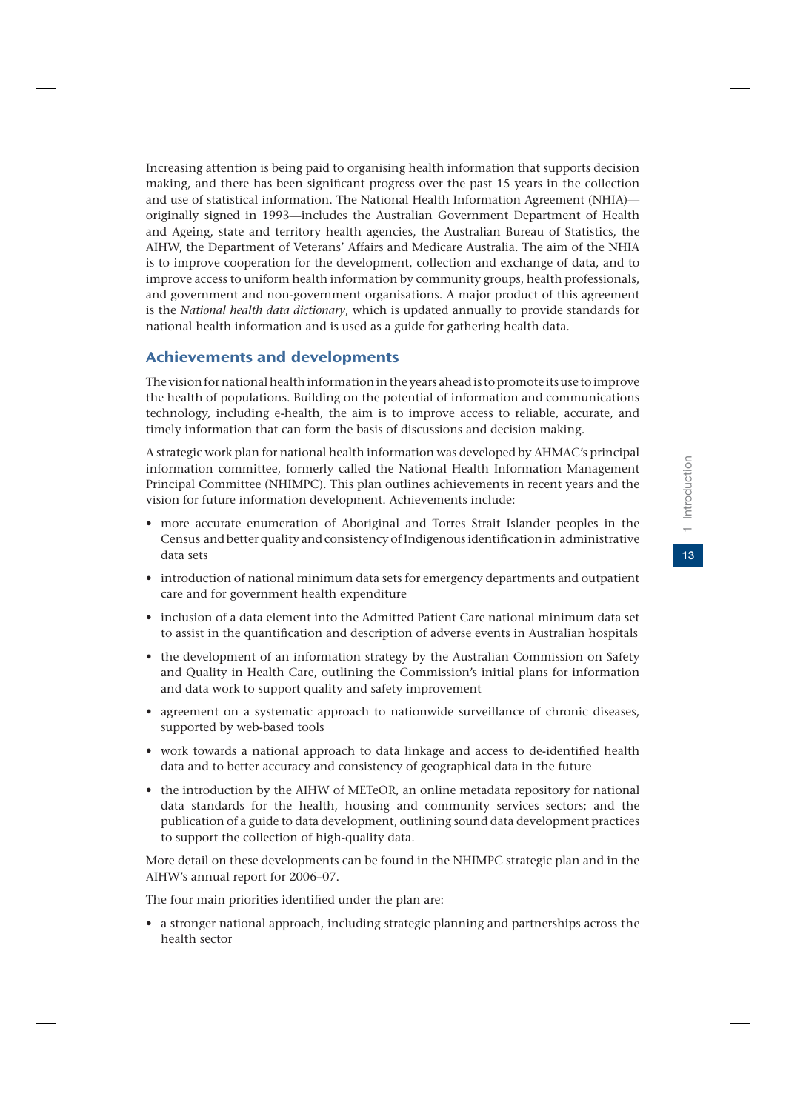Increasing attention is being paid to organising health information that supports decision making, and there has been significant progress over the past 15 years in the collection and use of statistical information. The National Health Information Agreement (NHIA) originally signed in 1993—includes the Australian Government Department of Health and Ageing, state and territory health agencies, the Australian Bureau of Statistics, the AIHW, the Department of Veterans' Affairs and Medicare Australia. The aim of the NHIA is to improve cooperation for the development, collection and exchange of data, and to improve access to uniform health information by community groups, health professionals, and government and non-government organisations. A major product of this agreement is the *National health data dictionary*, which is updated annually to provide standards for national health information and is used as a guide for gathering health data.

## Achievements and developments

The vision for national health information in the years ahead is to promote its use to improve the health of populations. Building on the potential of information and communications technology, including e-health, the aim is to improve access to reliable, accurate, and timely information that can form the basis of discussions and decision making.

A strategic work plan for national health information was developed by AHMAC's principal information committee, formerly called the National Health Information Management Principal Committee (NHIMPC). This plan outlines achievements in recent years and the vision for future information development. Achievements include:

- more accurate enumeration of Aboriginal and Torres Strait Islander peoples in the Census and better quality and consistency of Indigenous identification in administrative data sets
- introduction of national minimum data sets for emergency departments and outpatient care and for government health expenditure
- inclusion of a data element into the Admitted Patient Care national minimum data set to assist in the quantification and description of adverse events in Australian hospitals
- the development of an information strategy by the Australian Commission on Safety and Quality in Health Care, outlining the Commission's initial plans for information and data work to support quality and safety improvement
- agreement on a systematic approach to nationwide surveillance of chronic diseases, supported by web-based tools
- work towards a national approach to data linkage and access to de-identified health data and to better accuracy and consistency of geographical data in the future
- the introduction by the AIHW of METeOR, an online metadata repository for national data standards for the health, housing and community services sectors; and the publication of a guide to data development, outlining sound data development practices to support the collection of high-quality data.

More detail on these developments can be found in the NHIMPC strategic plan and in the AIHW's annual report for 2006–07.

The four main priorities identified under the plan are:

• a stronger national approach, including strategic planning and partnerships across the health sector

 $13<sup>°</sup>$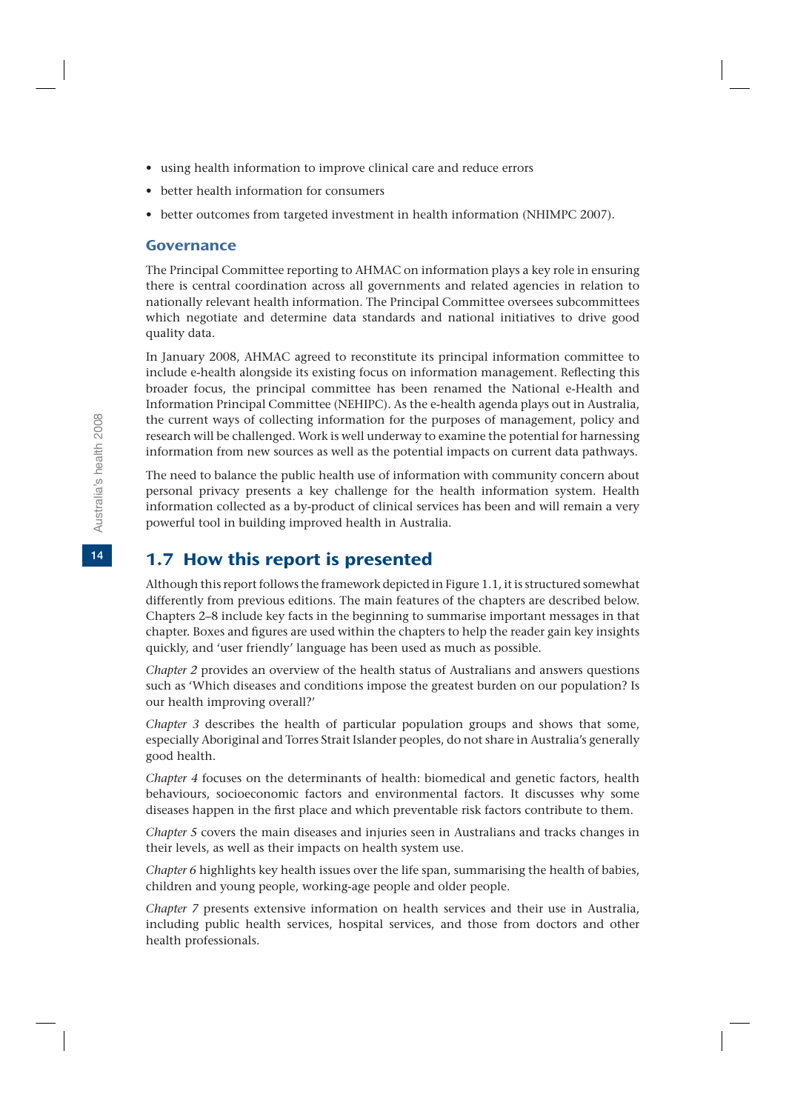- using health information to improve clinical care and reduce errors
- better health information for consumers
- better outcomes from targeted investment in health information (NHIMPC 2007).

#### Governance

The Principal Committee reporting to AHMAC on information plays a key role in ensuring there is central coordination across all governments and related agencies in relation to nationally relevant health information. The Principal Committee oversees subcommittees which negotiate and determine data standards and national initiatives to drive good quality data.

In January 2008, AHMAC agreed to reconstitute its principal information committee to include e-health alongside its existing focus on information management. Reflecting this broader focus, the principal committee has been renamed the National e-Health and Information Principal Committee (NEHIPC). As the e-health agenda plays out in Australia, the current ways of collecting information for the purposes of management, policy and research will be challenged. Work is well underway to examine the potential for harnessing information from new sources as well as the potential impacts on current data pathways.

The need to balance the public health use of information with community concern about personal privacy presents a key challenge for the health information system. Health information collected as a by-product of clinical services has been and will remain a very powerful tool in building improved health in Australia.

# 1.7 How this report is presented

Although this report follows the framework depicted in Figure 1.1, it is structured somewhat differently from previous editions. The main features of the chapters are described below. Chapters 2–8 include key facts in the beginning to summarise important messages in that chapter. Boxes and figures are used within the chapters to help the reader gain key insights quickly, and 'user friendly' language has been used as much as possible.

*Chapter 2* provides an overview of the health status of Australians and answers questions such as 'Which diseases and conditions impose the greatest burden on our population? Is our health improving overall?'

*Chapter 3* describes the health of particular population groups and shows that some, especially Aboriginal and Torres Strait Islander peoples, do not share in Australia's generally good health.

*Chapter 4* focuses on the determinants of health: biomedical and genetic factors, health behaviours, socioeconomic factors and environmental factors. It discusses why some diseases happen in the first place and which preventable risk factors contribute to them.

*Chapter 5* covers the main diseases and injuries seen in Australians and tracks changes in their levels, as well as their impacts on health system use.

*Chapter 6* highlights key health issues over the life span, summarising the health of babies, children and young people, working-age people and older people.

*Chapter 7* presents extensive information on health services and their use in Australia, including public health services, hospital services, and those from doctors and other health professionals.